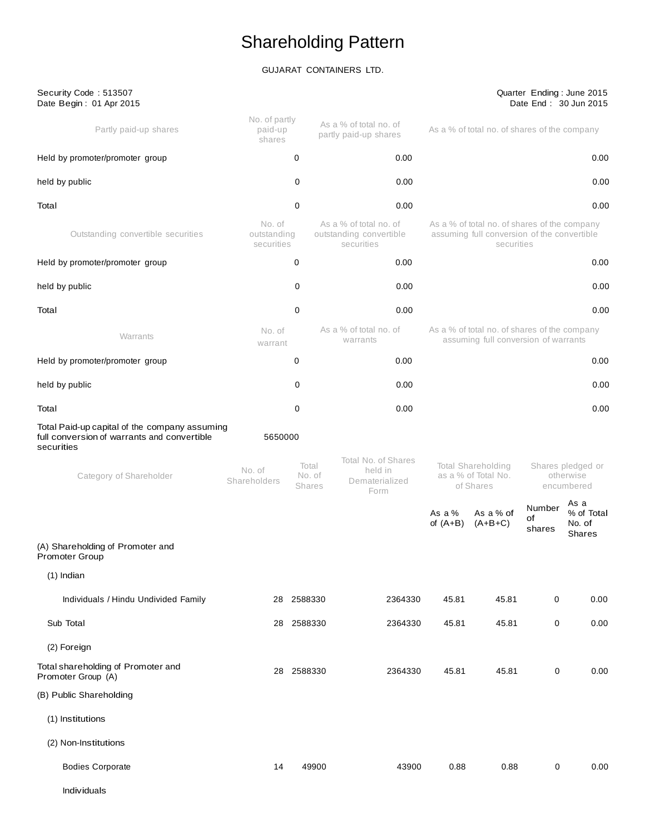# Shareholding Pattern

# GUJARAT CONTAINERS LTD.

Security Code : 513507

### Quarter Ending : June 2015 Date End : 30 Jun 2015

| Date Begin: 01 Apr 2015                                                                                    |                                     |                                  |                                                                 |                        |                                                                                                           |                        | Date End: 30 Jun 2015                        |
|------------------------------------------------------------------------------------------------------------|-------------------------------------|----------------------------------|-----------------------------------------------------------------|------------------------|-----------------------------------------------------------------------------------------------------------|------------------------|----------------------------------------------|
| Partly paid-up shares                                                                                      | No. of partly<br>paid-up<br>shares  |                                  | As a % of total no. of<br>partly paid-up shares                 |                        | As a % of total no. of shares of the company                                                              |                        |                                              |
| Held by promoter/promoter group                                                                            |                                     | 0                                | 0.00                                                            |                        |                                                                                                           |                        | 0.00                                         |
| held by public                                                                                             |                                     | 0                                | 0.00                                                            |                        |                                                                                                           |                        | 0.00                                         |
| Total                                                                                                      |                                     | 0                                | 0.00                                                            |                        |                                                                                                           |                        | 0.00                                         |
| Outstanding convertible securities                                                                         | No. of<br>outstanding<br>securities |                                  | As a % of total no. of<br>outstanding convertible<br>securities |                        | As a % of total no. of shares of the company<br>assuming full conversion of the convertible<br>securities |                        |                                              |
| Held by promoter/promoter group                                                                            |                                     | 0                                | 0.00                                                            |                        |                                                                                                           |                        | 0.00                                         |
| held by public                                                                                             |                                     | 0                                | 0.00                                                            |                        |                                                                                                           |                        | 0.00                                         |
| Total                                                                                                      |                                     | 0                                | 0.00                                                            |                        |                                                                                                           |                        | 0.00                                         |
| Warrants                                                                                                   | No. of<br>warrant                   |                                  | As a % of total no. of<br>warrants                              |                        | As a % of total no. of shares of the company<br>assuming full conversion of warrants                      |                        |                                              |
| Held by promoter/promoter group                                                                            |                                     | 0                                | 0.00                                                            |                        |                                                                                                           |                        | 0.00                                         |
| held by public                                                                                             |                                     | 0                                | 0.00                                                            |                        |                                                                                                           |                        | 0.00                                         |
| Total                                                                                                      |                                     | 0                                | 0.00                                                            |                        |                                                                                                           |                        | 0.00                                         |
| Total Paid-up capital of the company assuming<br>full conversion of warrants and convertible<br>securities | 5650000                             |                                  |                                                                 |                        |                                                                                                           |                        |                                              |
| Category of Shareholder                                                                                    | No. of<br>Shareholders              | Total<br>No. of<br><b>Shares</b> | Total No. of Shares<br>held in<br>Dematerialized<br>Form        |                        | Total Shareholding<br>as a % of Total No.<br>of Shares                                                    |                        | Shares pledged or<br>otherwise<br>encumbered |
|                                                                                                            |                                     |                                  |                                                                 | As a $%$<br>of $(A+B)$ | As a % of<br>$(A+B+C)$                                                                                    | Number<br>of<br>shares | As a<br>% of Total<br>No. of<br>Shares       |
| (A) Shareholding of Promoter and<br>Promoter Group                                                         |                                     |                                  |                                                                 |                        |                                                                                                           |                        |                                              |
| (1) Indian                                                                                                 |                                     |                                  |                                                                 |                        |                                                                                                           |                        |                                              |
| Individuals / Hindu Undivided Family                                                                       |                                     | 28 2588330                       | 2364330                                                         | 45.81                  | 45.81                                                                                                     | 0                      | 0.00                                         |
| Sub Total                                                                                                  |                                     | 28 2588330                       | 2364330                                                         | 45.81                  | 45.81                                                                                                     | $\pmb{0}$              | 0.00                                         |
| (2) Foreign                                                                                                |                                     |                                  |                                                                 |                        |                                                                                                           |                        |                                              |
| Total shareholding of Promoter and<br>Promoter Group (A)                                                   |                                     | 28 2588330                       | 2364330                                                         | 45.81                  | 45.81                                                                                                     | 0                      | $0.00\,$                                     |
| (B) Public Shareholding                                                                                    |                                     |                                  |                                                                 |                        |                                                                                                           |                        |                                              |
| (1) Institutions                                                                                           |                                     |                                  |                                                                 |                        |                                                                                                           |                        |                                              |
| (2) Non-Institutions                                                                                       |                                     |                                  |                                                                 |                        |                                                                                                           |                        |                                              |
| <b>Bodies Corporate</b>                                                                                    | 14                                  | 49900                            | 43900                                                           | 0.88                   | 0.88                                                                                                      | $\mathbf 0$            | 0.00                                         |
| Individuals                                                                                                |                                     |                                  |                                                                 |                        |                                                                                                           |                        |                                              |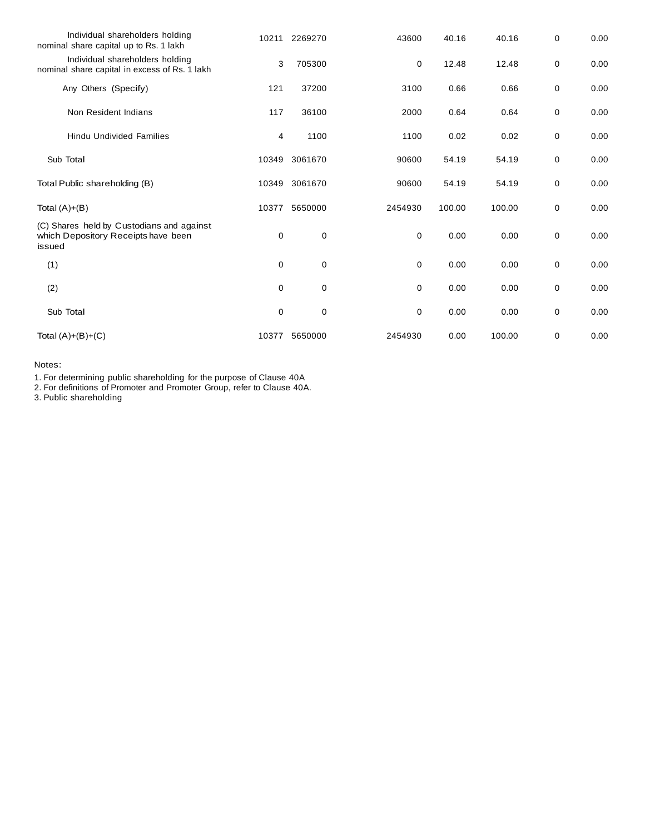| Individual shareholders holding<br>nominal share capital up to Rs. 1 lakh                  | 10211       | 2269270 | 43600       | 40.16  | 40.16  | 0 | 0.00 |
|--------------------------------------------------------------------------------------------|-------------|---------|-------------|--------|--------|---|------|
| Individual shareholders holding<br>nominal share capital in excess of Rs. 1 lakh           | 3           | 705300  | 0           | 12.48  | 12.48  | 0 | 0.00 |
| Any Others (Specify)                                                                       | 121         | 37200   | 3100        | 0.66   | 0.66   | 0 | 0.00 |
| Non Resident Indians                                                                       | 117         | 36100   | 2000        | 0.64   | 0.64   | 0 | 0.00 |
| <b>Hindu Undivided Families</b>                                                            | 4           | 1100    | 1100        | 0.02   | 0.02   | 0 | 0.00 |
| Sub Total                                                                                  | 10349       | 3061670 | 90600       | 54.19  | 54.19  | 0 | 0.00 |
| Total Public shareholding (B)                                                              | 10349       | 3061670 | 90600       | 54.19  | 54.19  | 0 | 0.00 |
| Total $(A)+(B)$                                                                            | 10377       | 5650000 | 2454930     | 100.00 | 100.00 | 0 | 0.00 |
| (C) Shares held by Custodians and against<br>which Depository Receipts have been<br>issued | 0           | 0       | $\mathbf 0$ | 0.00   | 0.00   | 0 | 0.00 |
| (1)                                                                                        | $\mathbf 0$ | 0       | $\mathbf 0$ | 0.00   | 0.00   | 0 | 0.00 |
| (2)                                                                                        | 0           | 0       | 0           | 0.00   | 0.00   | 0 | 0.00 |
| Sub Total                                                                                  | 0           | 0       | 0           | 0.00   | 0.00   | 0 | 0.00 |
| Total $(A)+(B)+(C)$                                                                        | 10377       | 5650000 | 2454930     | 0.00   | 100.00 | 0 | 0.00 |

Notes:

1. For determining public shareholding for the purpose of Clause 40A

2. For definitions of Promoter and Promoter Group, refer to Clause 40A.

3. Public shareholding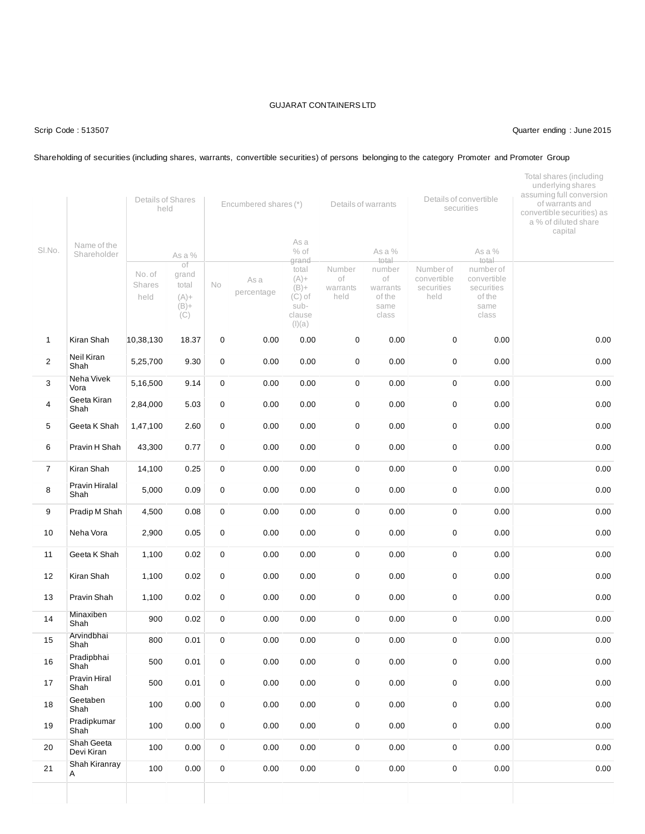### Scrip Code : 513507 Quarter ending : June 2015

### Shareholding of securities (including shares, warrants, convertible securities) of persons belonging to the category Promoter and Promoter Group

|                |                                 | Details of Shares<br>held |                                                             |             | Encumbered shares (*) |                                                                                                | Details of warrants              |                                                                        |                                                | Details of convertible<br>securities                                                 | Total shares (including<br>underlying shares<br>assuming full conversion<br>of warrants and<br>convertible securities) as<br>a % of diluted share<br>capital |
|----------------|---------------------------------|---------------------------|-------------------------------------------------------------|-------------|-----------------------|------------------------------------------------------------------------------------------------|----------------------------------|------------------------------------------------------------------------|------------------------------------------------|--------------------------------------------------------------------------------------|--------------------------------------------------------------------------------------------------------------------------------------------------------------|
| SI.No.         | Name of the<br>Shareholder      | No. of<br>Shares<br>held  | As a %<br>of<br>grand<br>total<br>$(A) +$<br>$(B) +$<br>(C) | No          | As a<br>percentage    | As a<br>$%$ of<br>grand<br>total<br>$(A) +$<br>$(B) +$<br>$(C)$ of<br>sub-<br>clause<br>(I)(a) | Number<br>of<br>warrants<br>held | As a %<br>total<br>number<br>of<br>warrants<br>of the<br>same<br>class | Number of<br>convertible<br>securities<br>held | As a %<br>total<br>number of<br>convertible<br>securities<br>of the<br>same<br>class |                                                                                                                                                              |
| $\mathbf{1}$   | Kiran Shah                      | 10,38,130                 | 18.37                                                       | $\pmb{0}$   | 0.00                  | 0.00                                                                                           | 0                                | 0.00                                                                   | $\mathbf 0$                                    | 0.00                                                                                 | 0.00                                                                                                                                                         |
| $\overline{2}$ | Neil Kiran<br>Shah              | 5,25,700                  | 9.30                                                        | 0           | 0.00                  | 0.00                                                                                           | $\pmb{0}$                        | 0.00                                                                   | $\mathbf 0$                                    | 0.00                                                                                 | 0.00                                                                                                                                                         |
| 3              | Neha Vivek<br>Vora              | 5,16,500                  | 9.14                                                        | 0           | 0.00                  | 0.00                                                                                           | 0                                | 0.00                                                                   | $\mathbf 0$                                    | 0.00                                                                                 | 0.00                                                                                                                                                         |
| 4              | Geeta Kiran<br>Shah             | 2,84,000                  | 5.03                                                        | 0           | 0.00                  | 0.00                                                                                           | 0                                | 0.00                                                                   | 0                                              | 0.00                                                                                 | 0.00                                                                                                                                                         |
| 5              | Geeta K Shah                    | 1,47,100                  | 2.60                                                        | $\pmb{0}$   | 0.00                  | 0.00                                                                                           | 0                                | 0.00                                                                   | $\mathbf 0$                                    | 0.00                                                                                 | 0.00                                                                                                                                                         |
| 6              | Pravin H Shah                   | 43,300                    | 0.77                                                        | 0           | 0.00                  | 0.00                                                                                           | 0                                | 0.00                                                                   | 0                                              | 0.00                                                                                 | 0.00                                                                                                                                                         |
| $\overline{7}$ | Kiran Shah                      | 14,100                    | 0.25                                                        | 0           | 0.00                  | 0.00                                                                                           | $\mathbf 0$                      | 0.00                                                                   | $\mathbf 0$                                    | 0.00                                                                                 | 0.00                                                                                                                                                         |
| 8              | Pravin Hiralal<br>Shah          | 5,000                     | 0.09                                                        | 0           | 0.00                  | 0.00                                                                                           | 0                                | 0.00                                                                   | $\mathbf 0$                                    | 0.00                                                                                 | 0.00                                                                                                                                                         |
| 9              | Pradip M Shah                   | 4,500                     | 0.08                                                        | 0           | 0.00                  | 0.00                                                                                           | 0                                | 0.00                                                                   | 0                                              | 0.00                                                                                 | 0.00                                                                                                                                                         |
| 10             | Neha Vora                       | 2,900                     | 0.05                                                        | 0           | 0.00                  | 0.00                                                                                           | 0                                | 0.00                                                                   | $\mathbf 0$                                    | 0.00                                                                                 | 0.00                                                                                                                                                         |
| 11             | Geeta K Shah                    | 1,100                     | 0.02                                                        | 0           | 0.00                  | 0.00                                                                                           | 0                                | 0.00                                                                   | $\mathbf 0$                                    | 0.00                                                                                 | 0.00                                                                                                                                                         |
| 12             | Kiran Shah                      | 1,100                     | 0.02                                                        | 0           | 0.00                  | 0.00                                                                                           | 0                                | 0.00                                                                   | 0                                              | 0.00                                                                                 | 0.00                                                                                                                                                         |
| 13             | Pravin Shah                     | 1,100                     | 0.02                                                        | 0           | 0.00                  | 0.00                                                                                           | $\pmb{0}$                        | 0.00                                                                   | 0                                              | 0.00                                                                                 | 0.00                                                                                                                                                         |
| 14             | Minaxiben<br>Shah               | 900                       | 0.02                                                        | 0           | 0.00                  | 0.00                                                                                           | 0                                | 0.00                                                                   | $\mathbf 0$                                    | 0.00                                                                                 | 0.00                                                                                                                                                         |
| 15             | Arvindbhai<br>Shah              | 800                       | 0.01                                                        | $\mathbf 0$ | 0.00                  | 0.00                                                                                           | 0                                | 0.00                                                                   | 0                                              | 0.00                                                                                 | 0.00                                                                                                                                                         |
| 16             | Pradipbhai<br>Shah <sup>1</sup> | 500                       | 0.01                                                        | 0           | 0.00                  | 0.00                                                                                           | $\mathbf 0$                      | 0.00                                                                   | $\mathbf 0$                                    | 0.00                                                                                 | 0.00                                                                                                                                                         |
| $17$           | Pravin Hiral<br>Shah            | 500                       | 0.01                                                        | 0           | 0.00                  | 0.00                                                                                           | 0                                | 0.00                                                                   | $\mathbf 0$                                    | 0.00                                                                                 | 0.00                                                                                                                                                         |
| 18             | Geetaben<br>Shah                | 100                       | 0.00                                                        | 0           | 0.00                  | 0.00                                                                                           | 0                                | 0.00                                                                   | $\pmb{0}$                                      | 0.00                                                                                 | 0.00                                                                                                                                                         |
| 19             | Pradipkumar<br>Shah             | 100                       | 0.00                                                        | $\pmb{0}$   | 0.00                  | 0.00                                                                                           | 0                                | 0.00                                                                   | $\pmb{0}$                                      | 0.00                                                                                 | 0.00                                                                                                                                                         |
| 20             | Shah Geeta<br>Devi Kiran        | 100                       | 0.00                                                        | 0           | 0.00                  | 0.00                                                                                           | 0                                | 0.00                                                                   | $\mathbf 0$                                    | 0.00                                                                                 | 0.00                                                                                                                                                         |
| 21             | Shah Kiranray<br>Α              | 100                       | 0.00                                                        | 0           | 0.00                  | 0.00                                                                                           | 0                                | 0.00                                                                   | 0                                              | 0.00                                                                                 | 0.00                                                                                                                                                         |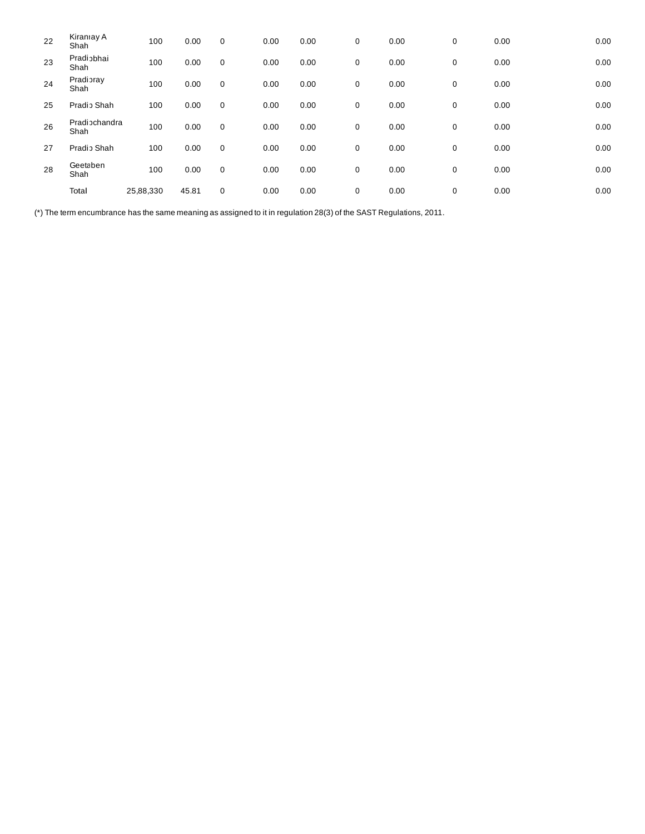| 22 | Kiraniay A<br>Shah    | 100       | 0.00  | $\mathbf 0$ | 0.00 | 0.00 | 0 | 0.00 | 0 | 0.00 | 0.00 |
|----|-----------------------|-----------|-------|-------------|------|------|---|------|---|------|------|
| 23 | Pradiobhai<br>Shah    | 100       | 0.00  | 0           | 0.00 | 0.00 | 0 | 0.00 | 0 | 0.00 | 0.00 |
| 24 | Pradioray<br>Shah     | 100       | 0.00  | $\mathbf 0$ | 0.00 | 0.00 | 0 | 0.00 | 0 | 0.00 | 0.00 |
| 25 | Pradio Shah           | 100       | 0.00  | 0           | 0.00 | 0.00 | 0 | 0.00 | 0 | 0.00 | 0.00 |
| 26 | Pradiochandra<br>Shah | 100       | 0.00  | 0           | 0.00 | 0.00 | 0 | 0.00 | 0 | 0.00 | 0.00 |
| 27 | Pradio Shah           | 100       | 0.00  | $\mathbf 0$ | 0.00 | 0.00 | 0 | 0.00 | 0 | 0.00 | 0.00 |
| 28 | Geetaben<br>Shah      | 100       | 0.00  | 0           | 0.00 | 0.00 | 0 | 0.00 | 0 | 0.00 | 0.00 |
|    | Total                 | 25,88,330 | 45.81 | 0           | 0.00 | 0.00 | 0 | 0.00 | 0 | 0.00 | 0.00 |

(\*) The term encumbrance has the same meaning as assigned to it in regulation 28(3) of the SAST Regulations, 2011.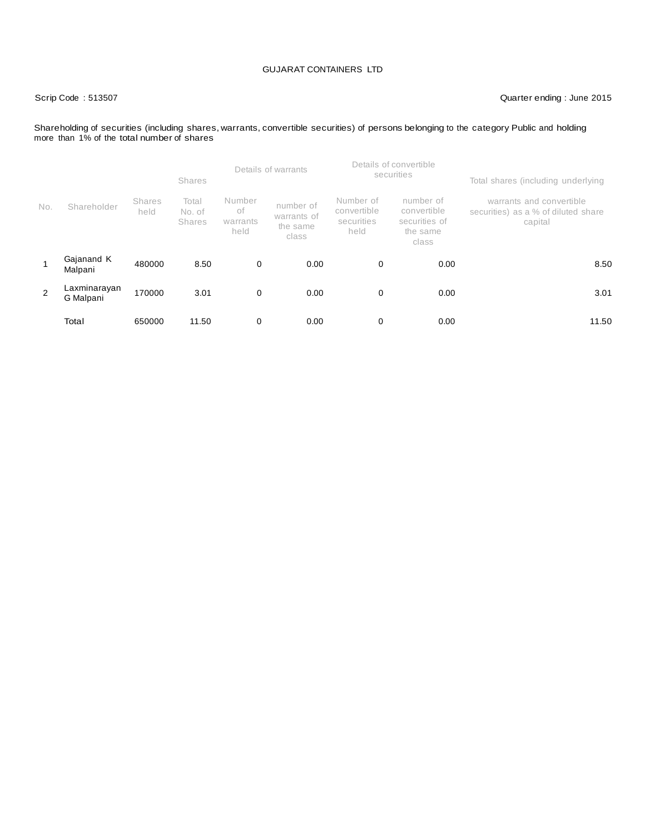# Scrip Code : 513507 Quarter ending : June 2015

Shareholding of securities (including shares, warrants, convertible securities) of persons belonging to the category Public and holding more than 1% of the total number of shares

|     |                           |                | <b>Shares</b>                    |                                  | Details of warrants                           |                                                | Details of convertible<br>securities                           | Total shares (including underlying                                         |
|-----|---------------------------|----------------|----------------------------------|----------------------------------|-----------------------------------------------|------------------------------------------------|----------------------------------------------------------------|----------------------------------------------------------------------------|
| No. | Shareholder               | Shares<br>held | Total<br>No. of<br><b>Shares</b> | Number<br>of<br>warrants<br>held | number of<br>warrants of<br>the same<br>class | Number of<br>convertible<br>securities<br>held | number of<br>convertible<br>securities of<br>the same<br>class | warrants and convertible<br>securities) as a % of diluted share<br>capital |
| 1   | Gajanand K<br>Malpani     | 480000         | 8.50                             | 0                                | 0.00                                          | 0                                              | 0.00                                                           | 8.50                                                                       |
| 2   | Laxminarayan<br>G Malpani | 170000         | 3.01                             | 0                                | 0.00                                          | 0                                              | 0.00                                                           | 3.01                                                                       |
|     | Total                     | 650000         | 11.50                            | 0                                | 0.00                                          | 0                                              | 0.00                                                           | 11.50                                                                      |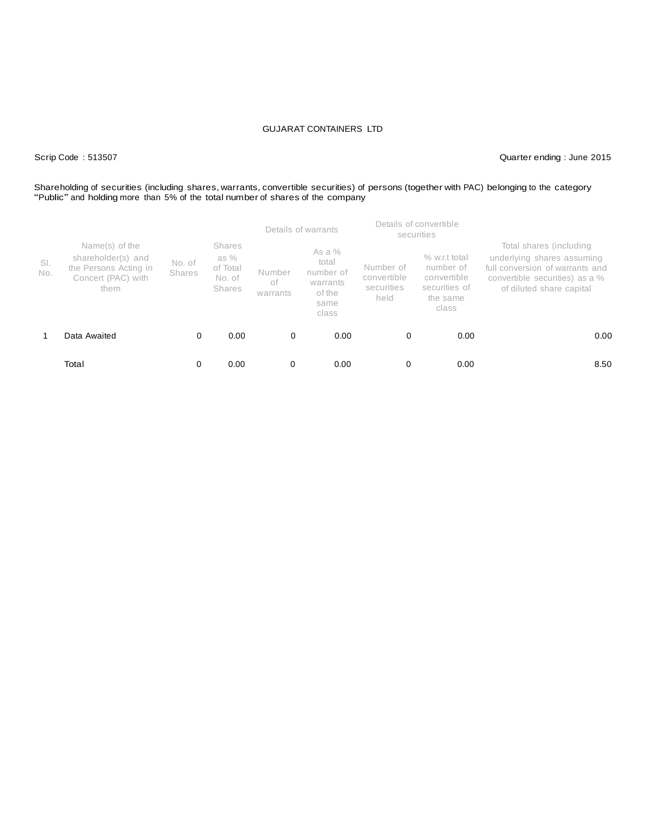## Scrip Code : 513507 Quarter ending : June 2015

# Shareholding of securities (including shares, warrants, convertible securities) of persons (together with PAC) belonging to the category "Public" and holding more than 5% of the total number of shares of the company

|            |                                                                                             |                  | Details of warrants                                          |                          |                                                                       |                                                | Details of convertible<br>securities                                            |                                                                                                                                                        |
|------------|---------------------------------------------------------------------------------------------|------------------|--------------------------------------------------------------|--------------------------|-----------------------------------------------------------------------|------------------------------------------------|---------------------------------------------------------------------------------|--------------------------------------------------------------------------------------------------------------------------------------------------------|
| SI.<br>No. | Name(s) of the<br>shareholder(s) and<br>the Persons Acting in<br>Concert (PAC) with<br>them | No. of<br>Shares | <b>Shares</b><br>as %<br>of Total<br>No. of<br><b>Shares</b> | Number<br>of<br>warrants | As a $%$<br>total<br>number of<br>warrants<br>of the<br>same<br>class | Number of<br>convertible<br>securities<br>held | % w.r.t total<br>number of<br>convertible<br>securities of<br>the same<br>class | Total shares (including<br>underlying shares assuming<br>full conversion of warrants and<br>convertible securities) as a %<br>of diluted share capital |
|            | Data Awaited                                                                                | 0                | 0.00                                                         | 0                        | 0.00                                                                  | 0                                              | 0.00                                                                            | 0.00                                                                                                                                                   |
|            | Total                                                                                       | 0                | 0.00                                                         | 0                        | 0.00                                                                  | 0                                              | 0.00                                                                            | 8.50                                                                                                                                                   |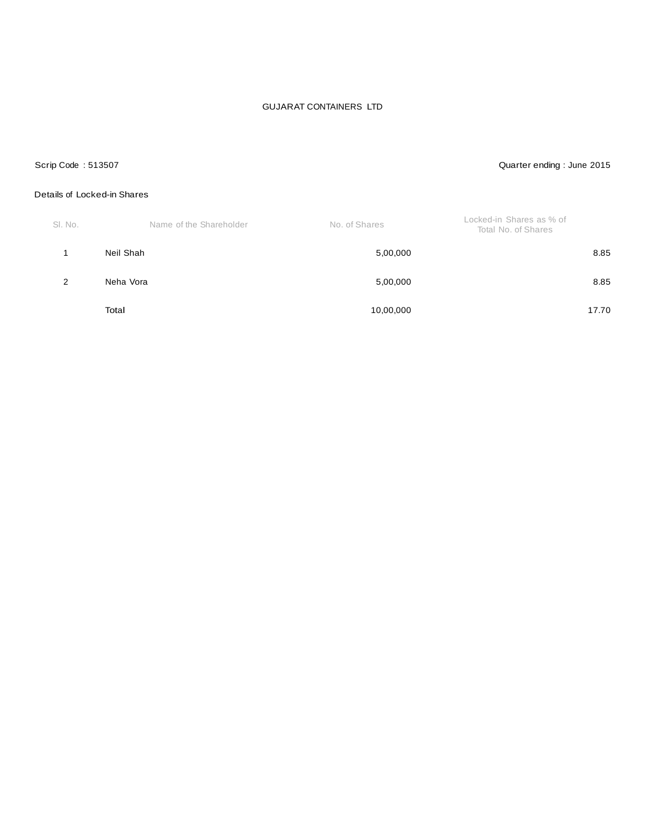# Scrip Code : 513507 Quarter ending : June 2015

### Details of Locked-in Shares

| SI. No. | Name of the Shareholder | No. of Shares | Locked-in Shares as % of<br>Total No. of Shares |
|---------|-------------------------|---------------|-------------------------------------------------|
|         | Neil Shah               | 5,00,000      | 8.85                                            |
| 2       | Neha Vora               | 5,00,000      | 8.85                                            |
|         | Total                   | 10,00,000     | 17.70                                           |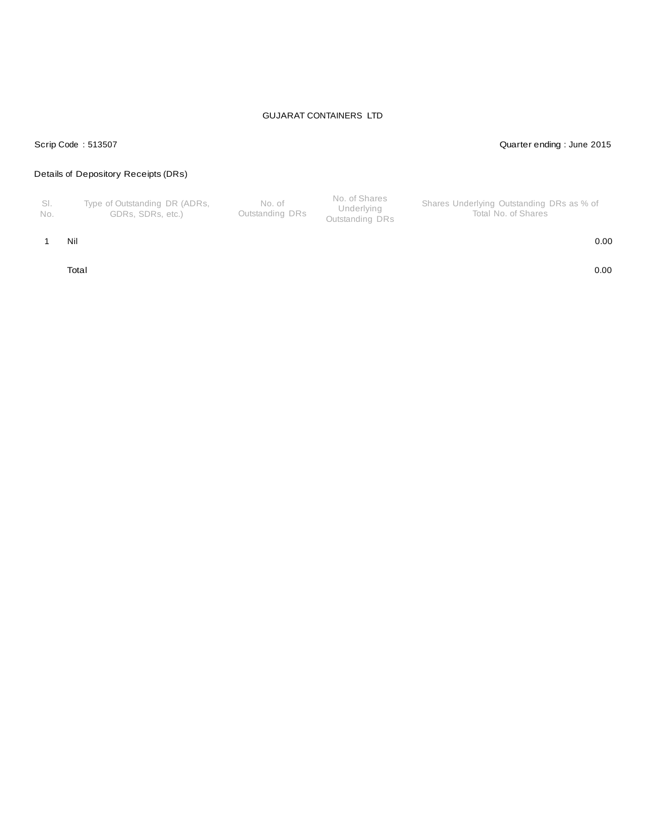### Scrip Code : 513507 Quarter ending : June 2015

# Details of Depository Receipts (DRs)

| - SI.<br>No. | Type of Outstanding DR (ADRs,<br>GDRs. SDRs. etc.) | No. of<br>Outstanding DRs | No. of Shares<br>Underlying<br>Outstanding DRs | Shares Underlying Outstanding DRs as % of<br>Total No. of Shares |
|--------------|----------------------------------------------------|---------------------------|------------------------------------------------|------------------------------------------------------------------|
|--------------|----------------------------------------------------|---------------------------|------------------------------------------------|------------------------------------------------------------------|

1 Nil 0.00

Total 0.00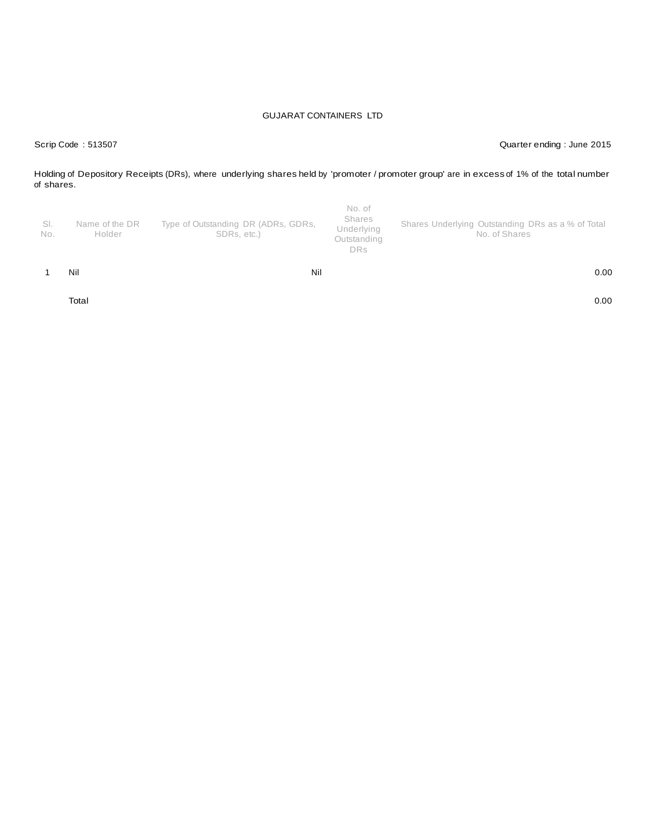Scrip Code : 513507 Quarter ending : June 2015

Holding of Depository Receipts (DRs), where underlying shares held by 'promoter / promoter group' are in excess of 1% of the total number of shares.

| -SI.<br>No. | Name of the DR<br>Holder | Type of Outstanding DR (ADRs, GDRs,<br>SDRs, etc.) | No. of<br>Shares<br>Underlying<br>Outstanding<br><b>DRs</b> | Shares Underlying Outstanding DRs as a % of Total<br>No. of Shares |
|-------------|--------------------------|----------------------------------------------------|-------------------------------------------------------------|--------------------------------------------------------------------|
|             | Nil                      | Nil                                                |                                                             | 0.00                                                               |

Total 0.00